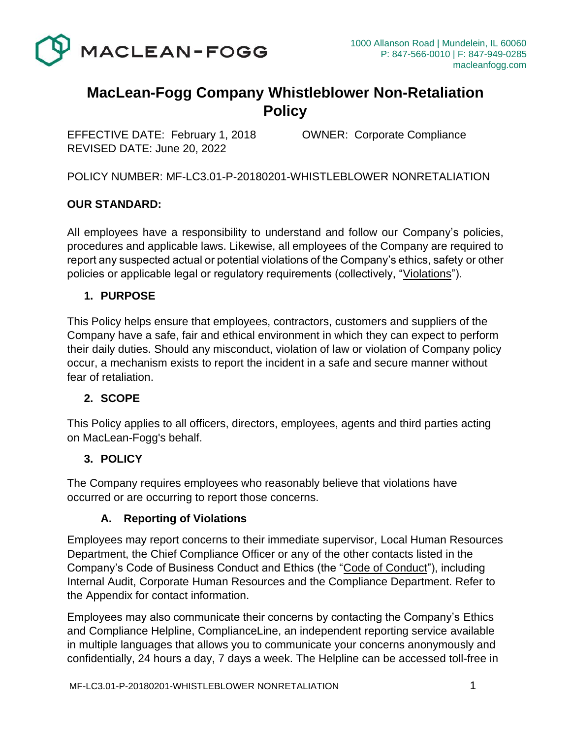

## **MacLean-Fogg Company Whistleblower Non-Retaliation Policy**

EFFECTIVE DATE: February 1, 2018 OWNER: Corporate Compliance REVISED DATE: June 20, 2022

POLICY NUMBER: MF-LC3.01-P-20180201-WHISTLEBLOWER NONRETALIATION

#### **OUR STANDARD:**

All employees have a responsibility to understand and follow our Company's policies, procedures and applicable laws. Likewise, all employees of the Company are required to report any suspected actual or potential violations of the Company's ethics, safety or other policies or applicable legal or regulatory requirements (collectively, "Violations").

#### **1. PURPOSE**

This Policy helps ensure that employees, contractors, customers and suppliers of the Company have a safe, fair and ethical environment in which they can expect to perform their daily duties. Should any misconduct, violation of law or violation of Company policy occur, a mechanism exists to report the incident in a safe and secure manner without fear of retaliation.

#### **2. SCOPE**

This Policy applies to all officers, directors, employees, agents and third parties acting on MacLean-Fogg's behalf.

#### **3. POLICY**

The Company requires employees who reasonably believe that violations have occurred or are occurring to report those concerns.

#### **A. Reporting of Violations**

Employees may report concerns to their immediate supervisor, Local Human Resources Department, the Chief Compliance Officer or any of the other contacts listed in the Company's Code of Business Conduct and Ethics (the "Code of Conduct"), including Internal Audit, Corporate Human Resources and the Compliance Department. Refer to the Appendix for contact information.

Employees may also communicate their concerns by contacting the Company's Ethics and Compliance Helpline, ComplianceLine, an independent reporting service available in multiple languages that allows you to communicate your concerns anonymously and confidentially, 24 hours a day, 7 days a week. The Helpline can be accessed toll-free in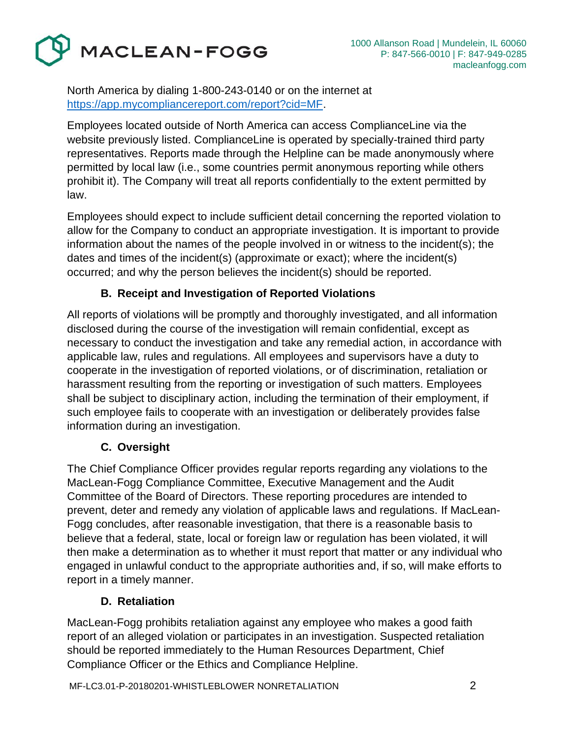MACLEAN-FOGG

North America by dialing 1-800-243-0140 or on the internet at [https://app.mycompliancereport.com/report?cid=MF.](https://app.mycompliancereport.com/report?cid=MF)

Employees located outside of North America can access ComplianceLine via the website previously listed. ComplianceLine is operated by specially-trained third party representatives. Reports made through the Helpline can be made anonymously where permitted by local law (i.e., some countries permit anonymous reporting while others prohibit it). The Company will treat all reports confidentially to the extent permitted by law.

Employees should expect to include sufficient detail concerning the reported violation to allow for the Company to conduct an appropriate investigation. It is important to provide information about the names of the people involved in or witness to the incident(s); the dates and times of the incident(s) (approximate or exact); where the incident(s) occurred; and why the person believes the incident(s) should be reported.

## **B. Receipt and Investigation of Reported Violations**

All reports of violations will be promptly and thoroughly investigated, and all information disclosed during the course of the investigation will remain confidential, except as necessary to conduct the investigation and take any remedial action, in accordance with applicable law, rules and regulations. All employees and supervisors have a duty to cooperate in the investigation of reported violations, or of discrimination, retaliation or harassment resulting from the reporting or investigation of such matters. Employees shall be subject to disciplinary action, including the termination of their employment, if such employee fails to cooperate with an investigation or deliberately provides false information during an investigation.

## **C. Oversight**

The Chief Compliance Officer provides regular reports regarding any violations to the MacLean-Fogg Compliance Committee, Executive Management and the Audit Committee of the Board of Directors. These reporting procedures are intended to prevent, deter and remedy any violation of applicable laws and regulations. If MacLean-Fogg concludes, after reasonable investigation, that there is a reasonable basis to believe that a federal, state, local or foreign law or regulation has been violated, it will then make a determination as to whether it must report that matter or any individual who engaged in unlawful conduct to the appropriate authorities and, if so, will make efforts to report in a timely manner.

## **D. Retaliation**

MacLean-Fogg prohibits retaliation against any employee who makes a good faith report of an alleged violation or participates in an investigation. Suspected retaliation should be reported immediately to the Human Resources Department, Chief Compliance Officer or the Ethics and Compliance Helpline.

MF-LC3.01-P-20180201-WHISTLEBLOWER NONRETALIATION 2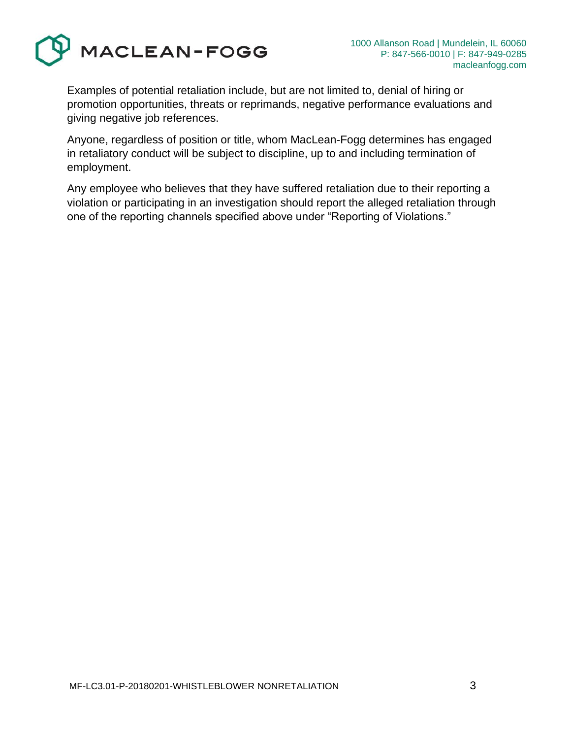

Examples of potential retaliation include, but are not limited to, denial of hiring or promotion opportunities, threats or reprimands, negative performance evaluations and giving negative job references.

Anyone, regardless of position or title, whom MacLean-Fogg determines has engaged in retaliatory conduct will be subject to discipline, up to and including termination of employment.

Any employee who believes that they have suffered retaliation due to their reporting a violation or participating in an investigation should report the alleged retaliation through one of the reporting channels specified above under "Reporting of Violations."